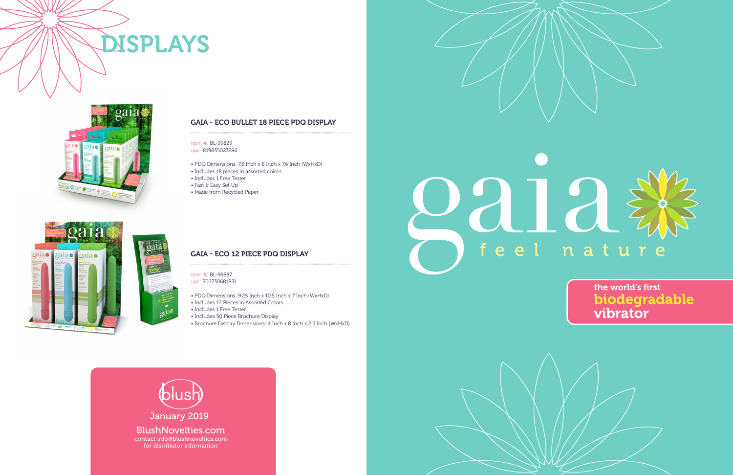

# 22122

## feel nature

the world's first biodegradable vibrator

### item #: BL-99829 upc: 819835023296

- PDQ Dimensions: 7.5 Inch x 8 Inch x 7.6 Inch (WxHxD)
- Includes 18 pieces in assorted colors
- Includes 1 Free Tester
- Fast & Easy Set Up
- Made from Recycled Paper

item #: BL-99887 upc: 702730681831

- PDQ Dimensions: 9.25 Inch x 10.5 Inch x 7 Inch (WxHxD)
- Includes 12 Pieces in Assorted Colors
- Includes 1 Free Tester
- Includes 50 Piece Brochure Display
- Brochure Display Dimensions: 4 Inch x 8 Inch x 2.5 Inch (WxHxD)

## GAIA - ECO BULLET 18 PIECE PDQ DISPLAY

## GAIA - ECO 12 PIECE PDQ DISPLAY

## DISPLAYS



2015

 $|p_2|$ 

 $2a1a$   $\ddot{\bullet}$